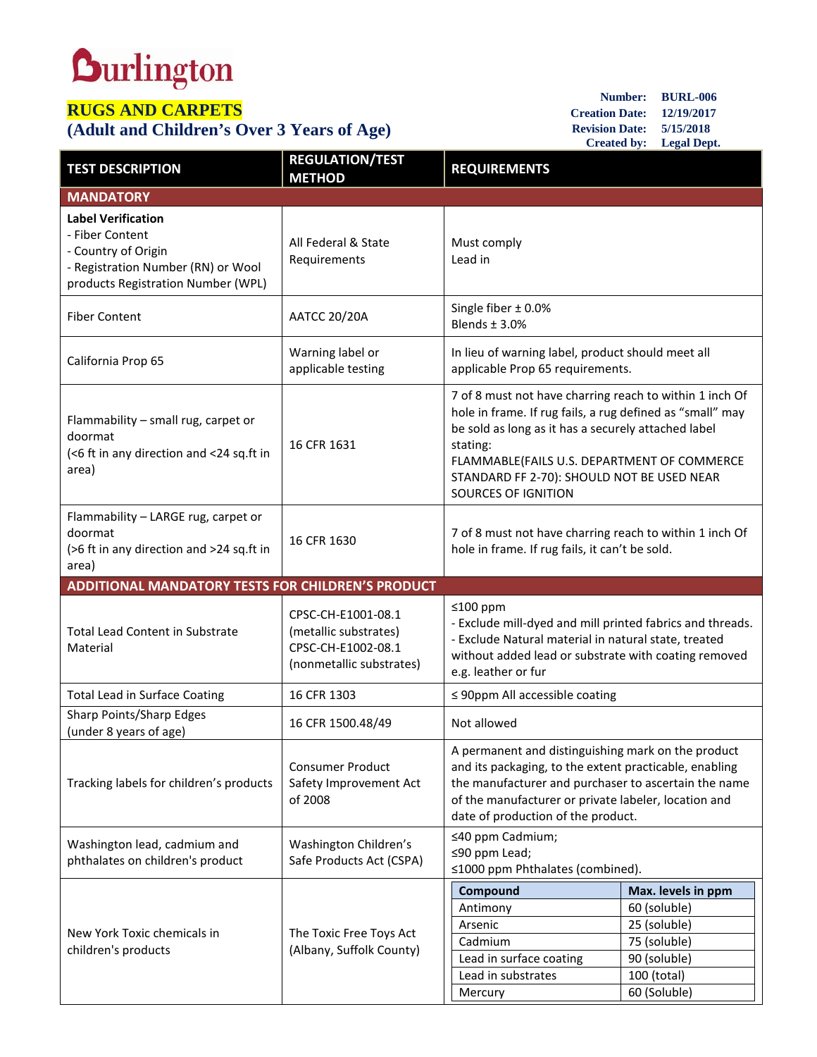## **Durlington**

## **RUGS AND CARPETS**

## **(Adult and Children's Over 3 Years of Age)**

**Number: BURL-006 Creation Date: 12/19/2017 Revision Date: 5/15/2018 Created by: Legal Dept.**

| <b>TEST DESCRIPTION</b>                                                                                                                         | <b>REGULATION/TEST</b><br><b>METHOD</b>                                                       | <b>REQUIREMENTS</b>                                                                                                                                                                                                                                                                                                |                                                                                                                   |  |
|-------------------------------------------------------------------------------------------------------------------------------------------------|-----------------------------------------------------------------------------------------------|--------------------------------------------------------------------------------------------------------------------------------------------------------------------------------------------------------------------------------------------------------------------------------------------------------------------|-------------------------------------------------------------------------------------------------------------------|--|
| <b>MANDATORY</b>                                                                                                                                |                                                                                               |                                                                                                                                                                                                                                                                                                                    |                                                                                                                   |  |
| <b>Label Verification</b><br>- Fiber Content<br>- Country of Origin<br>- Registration Number (RN) or Wool<br>products Registration Number (WPL) | All Federal & State<br>Requirements                                                           | Must comply<br>Lead in                                                                                                                                                                                                                                                                                             |                                                                                                                   |  |
| <b>Fiber Content</b>                                                                                                                            | <b>AATCC 20/20A</b>                                                                           | Single fiber $\pm$ 0.0%<br>Blends $\pm$ 3.0%                                                                                                                                                                                                                                                                       |                                                                                                                   |  |
| California Prop 65                                                                                                                              | Warning label or<br>applicable testing                                                        | In lieu of warning label, product should meet all<br>applicable Prop 65 requirements.                                                                                                                                                                                                                              |                                                                                                                   |  |
| Flammability - small rug, carpet or<br>doormat<br>(<6 ft in any direction and <24 sq.ft in<br>area)                                             | 16 CFR 1631                                                                                   | 7 of 8 must not have charring reach to within 1 inch Of<br>hole in frame. If rug fails, a rug defined as "small" may<br>be sold as long as it has a securely attached label<br>stating:<br>FLAMMABLE(FAILS U.S. DEPARTMENT OF COMMERCE<br>STANDARD FF 2-70): SHOULD NOT BE USED NEAR<br><b>SOURCES OF IGNITION</b> |                                                                                                                   |  |
| Flammability - LARGE rug, carpet or<br>doormat<br>(>6 ft in any direction and >24 sq.ft in<br>area)                                             | 16 CFR 1630                                                                                   | 7 of 8 must not have charring reach to within 1 inch Of<br>hole in frame. If rug fails, it can't be sold.                                                                                                                                                                                                          |                                                                                                                   |  |
| ADDITIONAL MANDATORY TESTS FOR CHILDREN'S PRODUCT                                                                                               |                                                                                               |                                                                                                                                                                                                                                                                                                                    |                                                                                                                   |  |
| <b>Total Lead Content in Substrate</b><br>Material                                                                                              | CPSC-CH-E1001-08.1<br>(metallic substrates)<br>CPSC-CH-E1002-08.1<br>(nonmetallic substrates) | ≤100 ppm<br>- Exclude mill-dyed and mill printed fabrics and threads.<br>- Exclude Natural material in natural state, treated<br>without added lead or substrate with coating removed<br>e.g. leather or fur                                                                                                       |                                                                                                                   |  |
| <b>Total Lead in Surface Coating</b>                                                                                                            | 16 CFR 1303                                                                                   | $\leq$ 90ppm All accessible coating                                                                                                                                                                                                                                                                                |                                                                                                                   |  |
| Sharp Points/Sharp Edges<br>(under 8 years of age)                                                                                              | 16 CFR 1500.48/49                                                                             | Not allowed                                                                                                                                                                                                                                                                                                        |                                                                                                                   |  |
| Tracking labels for children's products                                                                                                         | <b>Consumer Product</b><br>Safety Improvement Act<br>of 2008                                  | A permanent and distinguishing mark on the product<br>and its packaging, to the extent practicable, enabling<br>the manufacturer and purchaser to ascertain the name<br>of the manufacturer or private labeler, location and<br>date of production of the product.                                                 |                                                                                                                   |  |
| Washington lead, cadmium and<br>phthalates on children's product                                                                                | Washington Children's<br>Safe Products Act (CSPA)                                             | ≤40 ppm Cadmium;<br>≤90 ppm Lead;<br>≤1000 ppm Phthalates (combined).                                                                                                                                                                                                                                              |                                                                                                                   |  |
| New York Toxic chemicals in<br>children's products                                                                                              | The Toxic Free Toys Act<br>(Albany, Suffolk County)                                           | Compound<br>Antimony<br>Arsenic<br>Cadmium<br>Lead in surface coating<br>Lead in substrates<br>Mercury                                                                                                                                                                                                             | Max. levels in ppm<br>60 (soluble)<br>25 (soluble)<br>75 (soluble)<br>90 (soluble)<br>100 (total)<br>60 (Soluble) |  |